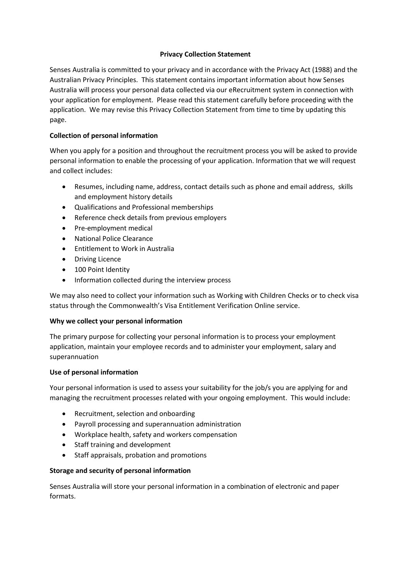## **Privacy Collection Statement**

Senses Australia is committed to your privacy and in accordance with the Privacy Act (1988) and the Australian Privacy Principles. This statement contains important information about how Senses Australia will process your personal data collected via our eRecruitment system in connection with your application for employment. Please read this statement carefully before proceeding with the application. We may revise this Privacy Collection Statement from time to time by updating this page.

# **Collection of personal information**

When you apply for a position and throughout the recruitment process you will be asked to provide personal information to enable the processing of your application. Information that we will request and collect includes:

- Resumes, including name, address, contact details such as phone and email address, skills and employment history details
- Qualifications and Professional memberships
- Reference check details from previous employers
- Pre-employment medical
- National Police Clearance
- Entitlement to Work in Australia
- Driving Licence
- 100 Point Identity
- Information collected during the interview process

We may also need to collect your information such as Working with Children Checks or to check visa status through the Commonwealth's Visa Entitlement Verification Online service.

### **Why we collect your personal information**

The primary purpose for collecting your personal information is to process your employment application, maintain your employee records and to administer your employment, salary and superannuation

### **Use of personal information**

Your personal information is used to assess your suitability for the job/s you are applying for and managing the recruitment processes related with your ongoing employment. This would include:

- Recruitment, selection and onboarding
- Payroll processing and superannuation administration
- Workplace health, safety and workers compensation
- Staff training and development
- Staff appraisals, probation and promotions

# **Storage and security of personal information**

Senses Australia will store your personal information in a combination of electronic and paper formats.